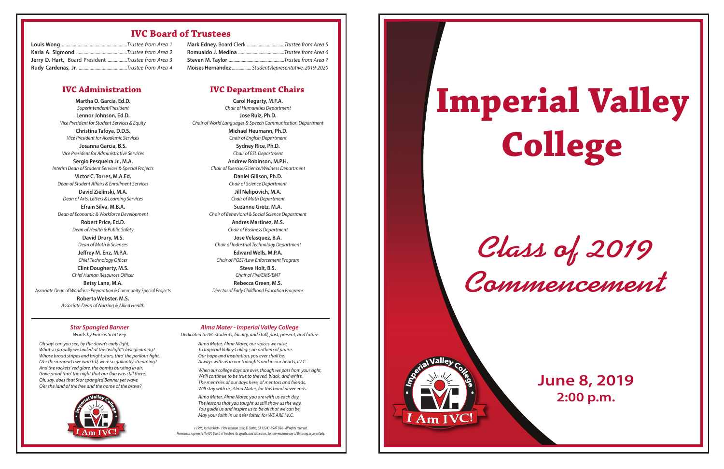*Class of 2019 Commencement*

# **Imperial Valley College**

Am

### **June 8, 2019 2:00 p.m.**

#### **IVC Board of Trustees**

#### *Star Spangled Banner*

Words by Francis Scott Key

Alma Mater, Alma Mater, our voices we raise, To Imperial Valley College, an anthem of praise. Our hope and inspiration, you evershall be, Always with us in our thoughts and in our hearts, I.V.C.

When our college days are over, though we pass from your sight, We'll continue to be true to the red, black, and white. The mem'ries of our days here, of mentors and friends, Will stay with us, Alma Mater, for this bond never ends.

Oh say! can you see, by the dawn's early light, What so proudly we hailed at the twilight's last gleaming? Whose broad stripes and bright stars, thro' the perilous fight, O'er the ramparts we watch'd, were so gallantly streaming? And the rockets' red glare, the bombs bursting in air, Gave proof thro' the night that our flag was still there, Oh, say, does that Star spangled Banner yet wave, O'er the land of the free and the home of the brave?



*Alma Mater - Imperial Valley College* Dedicated to IVC students, faculty, and staff, past, present, and future

> Alma Mater, Alma Mater, you are with us each day, The lessons that you taught us still show us the way. You quide us and inspire us to be all that we can be, May your faith in us ne'er falter, for WE ARE I.V.C.

*c1996, Joel Jacklich•1904JohnsonLane,ElCentro,CA 92243-9547 USA • All rights reserved. PermissionisgiventotheIVC BoardofTrustees, itsagents,andsuccessors, fornon-exclusiveuseof this songinperpetuity.*

| Jerry D. Hart, Board President Trustee from Area 3 |  |
|----------------------------------------------------|--|
|                                                    |  |

#### **Mark Edney,** Board Clerk ................................Trustee from Area 5 **Romualdo J. Medina .**......................................Trustee from Area 6 **Steven M. Taylor** ...............................................Trustee from Area 7 **Moises Hernandez** ................. Student Representative, 2019-2020

**Martha O. Garcia, Ed.D.** Superintendent/President **Lennor Johnson, Ed.D.** Vice President for Student Services & Equity **Christina Tafoya, D.D.S.** Vice President for Academic Services

**Josanna Garcia, B.S.** Vice President for Administrative Services **Sergio Pesqueira Jr., M.A.** Interim Dean of Student Services & Special Projects **Victor C. Torres, M.A.Ed.** Dean of Student Affairs & Enrollment Services

**David Zielinski, M.A.** Dean of Arts, Letters & Learning Services

**Efrain Silva, M.B.A.** Dean of Economic & Workforce Development

> **Robert Price, Ed.D.** Dean of Health & Public Safety **David Drury, M.S.**

Dean of Math & Sciences **Jeffrey M. Enz, M.P.A.**

Chief Technology Officer **Clint Dougherty, M.S.**

Chief Human Resources Officer

**Betsy Lane, M.A.** Associate Dean of Workforce Preparation & Community Special Projects

> **Roberta Webster, M.S.** Associate Dean of Nursing & Allied Health

**Carol Hegarty, M.F.A.** Chair of Humanities Department **Jose Ruiz, Ph.D.** Chair of World Languages & Speech Communication Department

**Michael Heumann, Ph.D.** Chair of English Department

**Sydney Rice, Ph.D.** Chair of ESL Department **Andrew Robinson, M.P.H.**

Chair of Exercise/Science/Wellness Department

**Daniel Gilison, Ph.D.** Chair of Science Department

**Jill Nelipovich, M.A.** Chair of Math Department

**Suzanne Gretz, M.A.** Chair of Behavioral & Social Science Department

> **Andres Martinez, M.S.** Chair of Business Department

> > **Jose Velasquez, B.A.**

Chair of Industrial Technology Department **Edward Wells, M.P.A.**

Chair of POST/Law Enforcement Program **Steve Holt, B.S.** Chair of Fire/EMS/EMT **Rebecca Green, M.S.**

Director of Early Childhood Education Programs

#### **IVC Administration IVC Department Chairs**